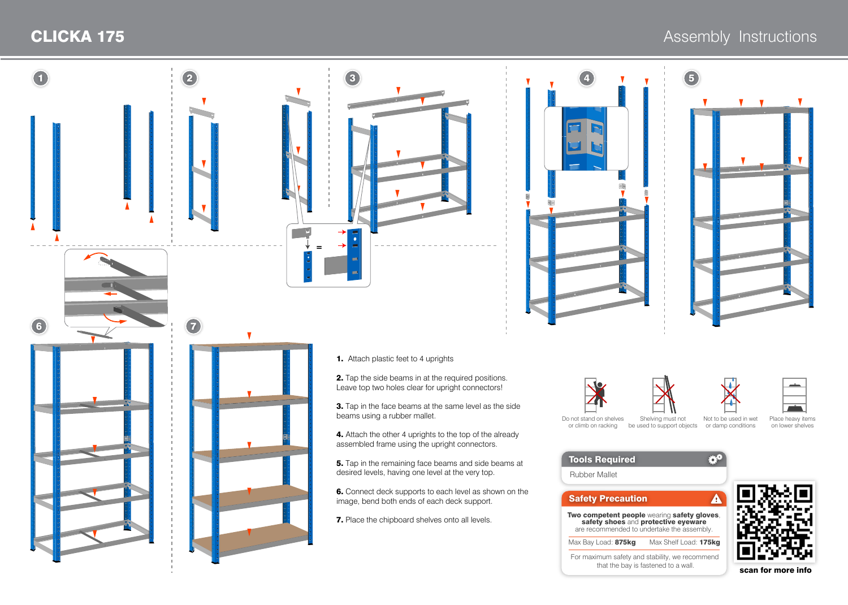

scan for more info